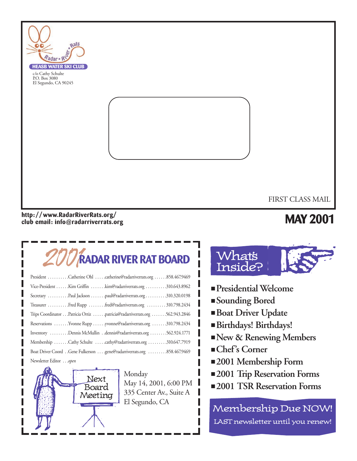

#### **http: //www.RadarRiverRats.org/ club email: info@radarriverrats.org**

## **MAY 2001**

# 2001**RADAR RIVER RAT BOARD**

| President Catherine Ohl catherine@radarriverrats.org 858.467.9469         |
|---------------------------------------------------------------------------|
| Vice-President Kim Griffin kim@radarriverrats.org 310.643.8962            |
| Secretary Paul Jackson paul@radarriverrats.org 310.320.0198               |
| Treasurer Fred Rupp fred@radarriverrats.org  310.798.2434                 |
| Trips Coordinator Patricia Ortiz patricia@radarriverrats.org 562.943.2846 |
| Reservations  Yvonne Rupp  yvonne@radarriverrats.org  310.798.2434        |
| Inventory Dennis McMullin dennis@radarriverrats.org 562.924.1771          |
| Membership Cathy Schulte cathy@radarriverrats.org 310.647.7919            |
|                                                                           |
| Newsletter Editor open                                                    |



Monday May 14, 2001, 6:00 PM 335 Center Av., Suite A El Segundo, CA



- **Presidential Welcome**
- **Sounding Bored**
- **Boat Driver Update**
- **Birthdays! Birthdays!**
- ■**New & Renewing Members**
- **Chef's Corner**
- **2001 Membership Form**
- **2001 Trip Reservation Forms**
- 2001 TSR Reservation Forms

Membership Due NOW! LAST newsletter until you renew!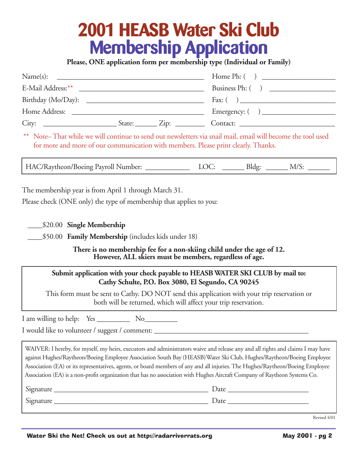# **2001 HEASB Water Ski Club Membership Application**

**Please, ONE application form per membership type (Individual or Family)**

| Name(s):           |  |                                                           |
|--------------------|--|-----------------------------------------------------------|
|                    |  | Business Ph: ()                                           |
| Birthday (Mo/Day): |  |                                                           |
|                    |  | Emergency: $\begin{pmatrix} 1 & 1 \\ 1 & 1 \end{pmatrix}$ |
| $City:$ $Zip:$     |  | Contact:                                                  |

\*\* Note– That while we will continue to send out newsletters via snail mail, email will become the tool used for more and more of our communication with members. Please print clearly. Thanks.

HAC/Raytheon/Boeing Payroll Number: <br> LOC: \_\_\_\_\_\_\_\_ Bldg: \_\_\_\_\_\_\_ M/S:

The membership year is from April 1 through March 31.

Please check (ONE only) the type of membership that applies to you:

\_\_\_\_\$20.00 **Single Membership**

\_\_\_\_\$50.00 **Family Membership** (includes kids under 18)

**There is no membership fee for a non-skiing child under the age of 12. However, ALL skiers must be members, regardless of age.**

#### **Submit application with your check payable to HEASB WATER SKI CLUB by mail to: Cathy Schulte, P.O. Box 3080, El Segundo, CA 90245**

This form must be sent to Cathy. DO NOT send this application with your trip reservation or both will be returned, which will affect your trip reservation.

I am willing to help: Yes No

I would like to volunteer / suggest / comment:

WAIVER: I hereby, for myself, my heirs, executors and administrators waive and release any and all rights and claims I may have against Hughes/Raytheon/Boeing Employee Association South Bay (HEASB)Water Ski Club, Hughes/Raytheon/Boeing Employee Association (EA) or its representatives, agents, or board members of any and all injuries. The Hughes/Raytheon/Boeing Employee Association (EA) is a non-profit organization that has no association with Hughes Aircraft Company of Raytheon Systems Co.

| Signature | Date |
|-----------|------|
| Signature | Date |

Revised 4/01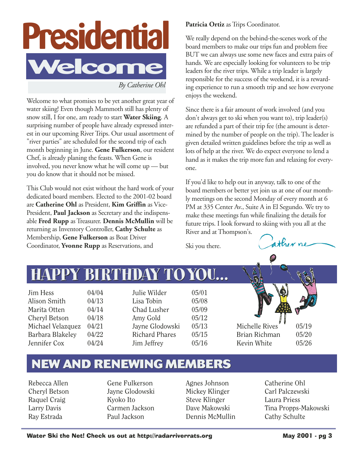

*By Catherine Ohl*

Welcome to what promises to be yet another great year of water skiing! Even though Mammoth still has plenty of snow still, I for one, am ready to start **Water Skiing**. A surprising number of people have already expressed interest in our upcoming River Trips. Our usual assortment of "river parties" are scheduled for the second trip of each month beginning in June. **Gene Fulkerson**, our resident Chef, is already planing the feasts. When Gene is involved, you never know what he will come up — but you do know that it should not be missed.

This Club would not exist without the hard work of your dedicated board members. Elected to the 2001-02 board are **Catherine Ohl** as President, **Kim Griffin** as Vice-President, **Paul Jackson** as Secretary and the indispensable **Fred Rupp** as Treasurer. **Dennis McMullin** will be returning as Inventory Controller, **Cathy Schulte** as Membership, **Gene Fulkerson** as Boat Driver Coordinator, **Yvonne Rupp** as Reservations, and

Patricia Ortiz as Trips Coordinator.

We really depend on the behind-the-scenes work of the board members to make our trips fun and problem free BUT we can always use some new faces and extra pairs of hands. We are especially looking for volunteers to be trip leaders for the river trips. While a trip leader is largely responsible for the success of the weekend, it is a rewarding experience to run a smooth trip and see how everyone enjoys the weekend.

Since there is a fair amount of work involved (and you don't always get to ski when you want to), trip leader(s) are refunded a part of their trip fee (the amount is determined by the number of people on the trip). The leader is given detailed written guidelines before the trip as well as lots of help at the river. We do expect everyone to lend a hand as it makes the trip more fun and relaxing for everyone.

If you'd like to help out in anyway, talk to one of the board members or better yet join us at one of our monthly meetings on the second Monday of every month at 6 PM at 335 Center Av., Suite A in El Segundo. We try to make these meetings fun while finalizing the details for future trips. I look forward to skiing with you all at the River and at Thompson's.

Ski you there.



## **HAPPY BIRTHDAY TOYOU... HAPPY BIRTHDAY TOYOU...**

 $\lim$  Hess  $04/04$ Alison Smith 04/13 Marita Otten 04/14 Cheryl Betson 04/18 Michael Velazquez 04/21 Barbara Blakeley 04/22 Jennifer Cox 04/24

Julie Wilder 05/01 Lisa Tobin 05/08 Chad Lusher 05/09 Amy Gold  $05/12$ Jayne Glodowski 05/13 Richard Phares 05/15 Jim Jeffrey 05/16



## **NEW AND RENEWING MEMBERS NEW AND RENEWING MEMBERS**

Rebecca Allen Cheryl Betson Raquel Craig Larry Davis Ray Estrada

Gene Fulkerson Jayne Glodowski Kyoko Ito Carmen Jackson Paul Jackson

Agnes Johnson Mickey Klinger Steve Klinger Dave Makowski Dennis McMullin

Catherine Ohl Carl Palczewski Laura Priess Tina Propps-Makowski Cathy Schulte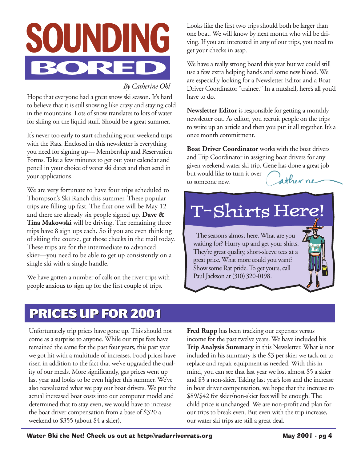

### *By Catherine Ohl*

Hope that everyone had a great snow ski season. It's hard to believe that it is still snowing like crazy and staying cold in the mountains. Lots of snow translates to lots of water for skiing on the liquid stuff. Should be a great summer.

It's never too early to start scheduling your weekend trips with the Rats. Enclosed in this newsletter is everything you need for signing up— Membership and Reservation Forms. Take a few minutes to get out your calendar and pencil in your choice of water ski dates and then send in your applications.

We are very fortunate to have four trips scheduled to Thompson's Ski Ranch this summer. These popular trips are filling up fast. The first one will be May 12 and there are already six people signed up. **Dave & Tina Makowski** will be driving. The remaining three trips have 8 sign ups each. So if you are even thinking of skiing the course, get those checks in the mail today. These trips are for the intermediate to advanced skier—you need to be able to get up consistently on a single ski with a single handle.

We have gotten a number of calls on the river trips with people anxious to sign up for the first couple of trips.

Looks like the first two trips should both be larger than one boat. We will know by next month who will be driving. If you are interested in any of our trips, you need to get your checks in asap.

We have a really strong board this year but we could still use a few extra helping hands and some new blood. We are especially looking for a Newsletter Editor and a Boat Driver Coordinator "trainee." In a nutshell, here's all you'd have to do.

**Newsletter Editor** is responsible for getting a monthly newsletter out. As editor, you recruit people on the trips to write up an article and then you put it all together. It's a once month commitment.

**Boat Driver Coordinator** works with the boat drivers and Trip Coordinator in assigning boat drivers for any given weekend water ski trip. Gene has done a great job but would like to turn it over ather ne

to someone new.

## T-Shirts Here!

The season's almost here. What are you waiting for? Hurry up and get your shirts. They're great quality, short-sleeve tees at a great price. What more could you want? Show some Rat pride. To get yours, call Paul Jackson at (310) 320-0198.

### **PRICES UP FOR 2001 PRICES UP FOR 2001**

Unfortunately trip prices have gone up. This should not come as a surprise to anyone. While our trips fees have remained the same for the past four years, this past year we got hit with a multitude of increases. Food prices have risen in addition to the fact that we've upgraded the quality of our meals. More significantly, gas prices went up last year and looks to be even higher this summer. We've also reevaluated what we pay our boat drivers. We put the actual increased boat costs into our computer model and determined that to stay even, we would have to increase the boat driver compensation from a base of \$320 a weekend to \$355 (about \$4 a skier).

**Fred Rupp** has been tracking our expenses versus income for the past twelve years. We have included his **Trip Analysis Summary** in this Newsletter. What is not included in his summary is the \$3 per skier we tack on to replace and repair equipment as needed. With this in mind, you can see that last year we lost almost \$5 a skier and \$3 a non-skier. Taking last year's loss and the increase in boat driver compensation, we hope that the increase to \$89/\$42 for skier/non-skier fees will be enough. The child price is unchanged. We are non-profit and plan for our trips to break even. But even with the trip increase, our water ski trips are still a great deal.

**River Rat**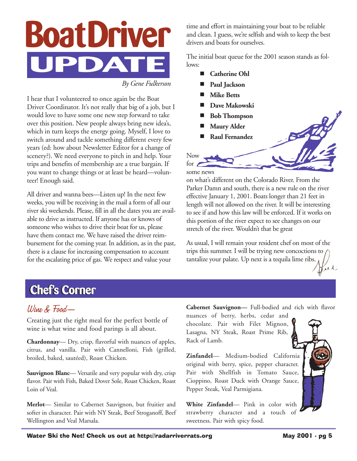

*By Gene Fulkerson*

I hear that I volunteered to once again be the Boat Driver Coordinator. It's not really that big of a job, but I would love to have some one new step forward to take over this position. New people always bring new idea's, which in turn keeps the energy going. Myself, I love to switch around and tackle something different every few years (ed: how about Newsletter Editor for a change of scenery?). We need everyone to pitch in and help. Your trips and benefits of membership are a true bargain. If you want to change things or at least be heard—volunteer! Enough said.

All driver and wanna bees—Listen up! In the next few weeks, you will be receiving in the mail a form of all our river ski weekends. Please, fill in all the dates you are available to drive as instructed. If anyone has or knows of someone who wishes to drive their boat for us, please have them contact me. We have raised the driver reimbursement for the coming year. In addition, as in the past, there is a clause for increasing compensation to account for the escalating price of gas. We respect and value your

time and effort in maintaining your boat to be reliable and clean. I guess, we're selfish and wish to keep the best drivers and boats for ourselves.

The initial boat queue for the 2001 season stands as follows:

- **Catherine Ohl**
- Paul Jackson
- **Mike Betts**
- Dave Makowski
- **Bob Thompson**
- **Maury Alder**
- **Raul Fernandez**

Now for

some news

on what's different on the Colorado River. From the Parker Damn and south, there is a new rule on the river effective January 1, 2001. Boats longer than 21 feet in length will not allowed on the river. It will be interesting to see if and how this law will be enforced. If it works on this portion of the river expect to see changes on our stretch of the river. Wouldn't that be great

As usual, I will remain your resident chef on most of the trips this summer. I will be trying new concoctions to tantalize your palate. Up next is a tequila lime ribs. Kul

## **Chef's Corner Chef's Corner**

### Wine & Food—

Creating just the right meal for the perfect bottle of wine is what wine and food parings is all about.

**Chardonnay**— Dry, crisp, flavorful with nuances of apples, citrus, and vanilla. Pair with Cannelloni, Fish (grilled, broiled, baked, sautéed), Roast Chicken.

**Sauvignon Blanc—** Versatile and very popular with dry, crisp flavor. Pair with Fish, Baked Dover Sole, Roast Chicken, Roast Loin of Veal.

**Merlot**— Similar to Cabernet Sauvignon, but fruitier and softer in character. Pair with NY Steak, Beef Stroganoff, Beef Wellington and Veal Marsala.

**Cabernet Sauvignon—** Full-bodied and rich with flavor

nuances of berry, herbs, cedar and chocolate. Pair with Filet Mignon, Lasagna, NY Steak, Roast Prime Rib, Rack of Lamb.

**Zinfandel**— Medium-bodied California original with berry, spice, pepper character. Pair with Shellfish in Tomato Sauce, Cioppino, Roast Duck with Orange Sauce, Pepper Steak, Veal Parmigiana.

**White Zinfandel**— Pink in color with strawberry character and a touch of sweetness. Pair with spicy food.

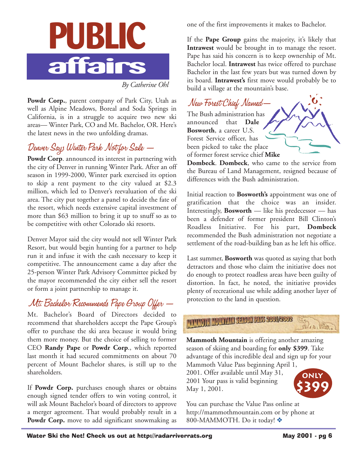

*By Catherine Ohl*

Powdr Corp., parent company of Park City, Utah as well as Alpine Meadows, Boreal and Soda Springs in California, is in a struggle to acquire two new ski areas— Winter Park, CO and Mt. Bachelor, OR. Here's the latest news in the two unfolding dramas.

### Denver Says Winter Park Not for Sale —

Powdr Corp. announced its interest in partnering with the city of Denver in running Winter Park. After an off season in 1999-2000, Winter park exercised its option to skip a rent payment to the city valued at \$2.3 million, which led to Denver's reevaluation of the ski area. The city put together a panel to decide the fate of the resort, which needs extensive capital investment of more than \$63 million to bring it up to snuff so as to be competitive with other Colorado ski resorts.

Denver Mayor said the city would not sell Winter Park Resort, but would begin hunting for a partner to help run it and infuse it with the cash necessary to keep it competitive. The announcement came a day after the 25-person Winter Park Advisory Committee picked by the mayor recommended the city either sell the resort or form a joint partnership to manage it.

### Mt. Bachelor Recommends Pape Group Offer —

Mt. Bachelor's Board of Directors decided to recommend that shareholders accept the Pape Group's offer to purchase the ski area because it would bring them more money. But the choice of selling to former CEO **Randy Pape** or **Powdr Corp**., which reported last month it had secured commitments on about 70 percent of Mount Bachelor shares, is still up to the shareholders.

If **Powdr Corp.** purchases enough shares or obtains enough signed tender offers to win voting control, it will ask Mount Bachelor's board of directors to approve a merger agreement. That would probably result in a Powdr Corp. move to add significant snowmaking as one of the first improvements it makes to Bachelor.

If the **Pape Group** gains the majority, it's likely that **Intrawest** would be brought in to manage the resort. Pape has said his concern is to keep ownership of Mt. Bachelor local. **Intrawest** has twice offered to purchase Bachelor in the last few years but was turned down by its board. **Intrawest's** first move would probably be to build a village at the mountain's base.

New Forest Chief Named— The Bush administration has announced that **Dale Bosworth**, a career U.S. Forest Service officer, has been picked to take the place of former forest service chief **Mike**

**Dombeck**. **Dombeck**, who came to the service from the Bureau of Land Management, resigned because of differences with the Bush administration.

Initial reaction to **Bosworth's** appointment was one of gratification that the choice was an insider. Interestingly, **Bosworth** — like his predecessor — has been a defender of former president Bill Clinton's Roadless Initiative. For his part, **Dombeck** recommended the Bush administration not negotiate a settlement of the road-building ban as he left his office.

Last summer, **Bosworth** was quoted as saying that both detractors and those who claim the initiative does not do enough to protect roadless areas have been guilty of distortion. In fact, he noted, the initiative provides plenty of recreational use while adding another layer of protection to the land in question.



**Mammoth Mountain** is offering another amazing season of skiing and boarding for **only \$399**. Take advantage of this incredible deal and sign up for your

Mammoth Value Pass beginning April 1, 2001. Offer available until May 31, 2001 Your pass is valid beginning May 1, 2001.



You can purchase the Value Pass online at http://mammothmountain.com or by phone at 800-MAMMOTH. Do it today! ❖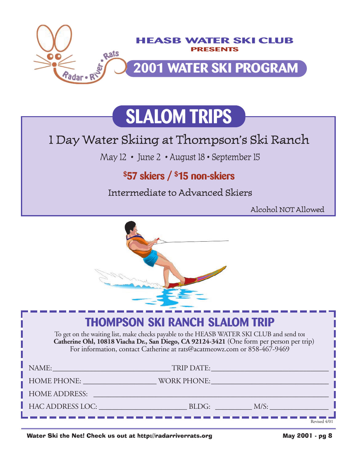

# **SLALOM TRIPS**

## 1 Day Water Skiing at Thompson's Ski Ranch

May 12 • June 2 • August 18 • September 15

### **\$57 skiers / \$15 non-skiers**

Intermediate to Advanced Skiers

Alcohol NOT Allowed



### **THOMPSON SKI RANCH SLALOM TRIP** To get on the waiting list, make checks payable to the HEASB WATER SKI CLUB and send to**: Catherine Ohl, 10818 Viacha Dr., San Diego, CA 92124-3421** (One form per person per trip) For information, contact Catherine at rats@acatmeowz.com or 858-467-9469 NAME:\_\_\_\_\_\_\_\_\_\_\_\_\_\_\_\_\_\_\_\_\_\_\_\_\_\_\_\_\_\_\_\_ TRIP DATE:\_\_\_\_\_\_\_\_\_\_\_\_\_\_\_\_\_\_\_\_\_\_\_\_\_\_\_\_\_\_\_\_ HOME PHONE: WORK PHONE: HOME ADDRESS: \_\_\_\_\_\_\_\_\_\_\_\_\_\_\_\_\_\_\_\_\_\_\_\_\_\_\_\_\_\_\_\_\_\_\_\_\_\_\_\_\_\_\_\_\_\_\_\_\_\_\_\_\_\_\_\_\_\_\_\_\_\_\_\_ HAC ADDRESS LOC: \_\_\_\_\_\_\_\_\_\_\_\_\_\_\_\_\_\_\_\_\_\_\_\_ BLDG: \_\_\_\_\_\_\_\_\_\_ M/S: \_\_\_\_\_\_\_\_\_\_\_\_\_\_\_\_ Revised 4/01

Water Ski the Net! Check us out at http://radarriverrats.org May 2001 - pg 8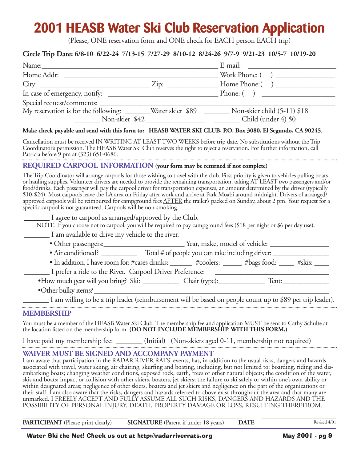## **2001 HEASB Water Ski Club Reservation Application**

(Please, ONE reservation form and ONE check for EACH person EACH trip)

#### **Circle Trip Date: 6/8-10 6/22-24 7/13-15 7/27-29 8/10-12 8/24-26 9/7-9 9/21-23 10/5-7 10/19-20**

| Name:                                                        |                | E-mail:                     |
|--------------------------------------------------------------|----------------|-----------------------------|
| Home Addr:                                                   |                |                             |
| $City:$ $Zip:$                                               |                | Home Phone: ()              |
|                                                              |                | Phone: ( )                  |
|                                                              |                |                             |
| My reservation is for the following: _______Water skier \$89 |                | Non-skier child (5-11) \$18 |
|                                                              | Non-skier \$42 | Child (under 4) \$0         |

#### **Make check payable and send with this form to: HEASB WATER SKI CLUB, P.O. Box 3080, El Segundo, CA 90245**.

Cancellation must be received IN WRITING AT LEAST TWO WEEKS before trip date. No substitutions without the Trip Coordinator's permission. The HEASB Water Ski Club reserves the right to reject a reservation. For further information, call Patricia before 9 pm at (323) 651-0686.

#### **REQUIRED CARPOOL INFORMATION (your form may be returned if not complete)**

The Trip Coordinator will arrange carpools for those wishing to travel with the club. First priority is given to vehicles pulling boats or hauling supplies. Volunteer drivers are needed to provide the remaining transportation, taking AT LEAST two passengers and/or food/drinks. Each passenger will pay the carpool driver for transportation expenses, an amount determined by the driver (typically \$10-\$24). Most carpools leave the LA area on Friday after work and arrive at Park Moabi around midnight. Drivers of arranged/ approved carpools will be reimbursed for campground fees AFTER the trailer's packed on Sunday, about 2 pm. Your request for a specific carpool is not guaranteed. Carpools will be non-smoking.

\_\_\_\_\_\_\_ I agree to carpool as arranged/approved by the Club.

NOTE: If you choose not to carpool, you will be required to pay campground fees (\$18 per night or \$6 per day use).

\_\_\_\_\_\_\_ I am available to drive my vehicle to the river.

| • Other passengers: | Year, make, model of vehicle: |
|---------------------|-------------------------------|
|---------------------|-------------------------------|

• Air conditioned? \_\_\_\_\_\_\_\_\_\_\_\_\_\_ Total # of people you can take including driver: \_\_\_\_\_\_\_\_\_\_\_\_\_\_\_\_\_\_\_\_\_\_\_\_\_\_\_

• In addition, I have room for: #cases drinks: \_\_\_\_\_\_ #coolers: \_\_\_\_\_ #bags food: \_\_\_\_ #skis: \_\_\_\_

\_\_\_\_\_\_\_ I prefer a ride to the River. Carpool Driver Preference: \_\_\_\_\_\_\_\_\_\_\_\_\_\_\_\_\_\_\_\_\_\_\_\_\_\_\_\_\_\_\_

•How much gear will you bring? Ski: \_\_\_\_\_\_\_\_\_\_ Chair (type):\_\_\_\_\_\_\_\_\_\_\_\_\_ Tent:\_\_\_\_\_\_\_\_\_\_\_\_\_

•Other bulky items?\_\_\_\_\_\_\_\_\_\_\_\_\_\_\_\_\_\_\_\_\_\_\_\_\_\_\_\_\_\_\_\_\_\_\_\_\_\_\_\_\_\_\_\_\_\_\_\_\_\_\_\_\_\_\_\_\_\_\_\_\_\_\_\_\_\_

\_\_\_\_\_\_\_ I am willing to be a trip leader (reimbursement will be based on people count up to \$89 per trip leader).

#### **MEMBERSHIP**

You must be a member of the HEASB Water Ski Club. The membership fee and application MUST be sent to Cathy Schulte at the location listed on the membership form. **(DO NOT INCLUDE MEMBERSHIP WITH THIS FORM.)**

I have paid my membership fee: \_\_\_\_\_\_\_ (Initial) (Non-skiers aged 0-11, membership not required)

#### **WAIVER MUST BE SIGNED AND ACCOMPANY PAYMENT**

I am aware that participation in the RADAR RIVER RATS' events, has, in addition to the usual risks, dangers and hazards associated with travel, water skiing, air chairing, skurfing and boating, including, but not limited to: boarding, riding and disembarking boats; changing weather conditions, exposed rock, earth, trees or other natural objects; the condition of the water, skis and boats; impact or collision with other skiers, boaters, jet skiers; the failure to ski safely or within one's own ability or within designated areas; negligence of other skiers, boaters and jet skiers and negligence on the part of the organizations or their staff. I am also aware that the risks, dangers and hazards referred to above exist throughout the area and that many are unmarked. I FREELY ACCEPT AND FULLY ASSUME ALL SUCH RISKS, DANGERS AND HAZARDS AND THE POSSIBILITY OF PERSONAL INJURY, DEATH, PROPERTY DAMAGE OR LOSS, RESULTING THEREFROM.

| <b>PARTICIPANT</b> (Please print clearly) | <b>SIGNATURE</b> (Parent if under 18 years) DATE | Revised 4/01 |
|-------------------------------------------|--------------------------------------------------|--------------|